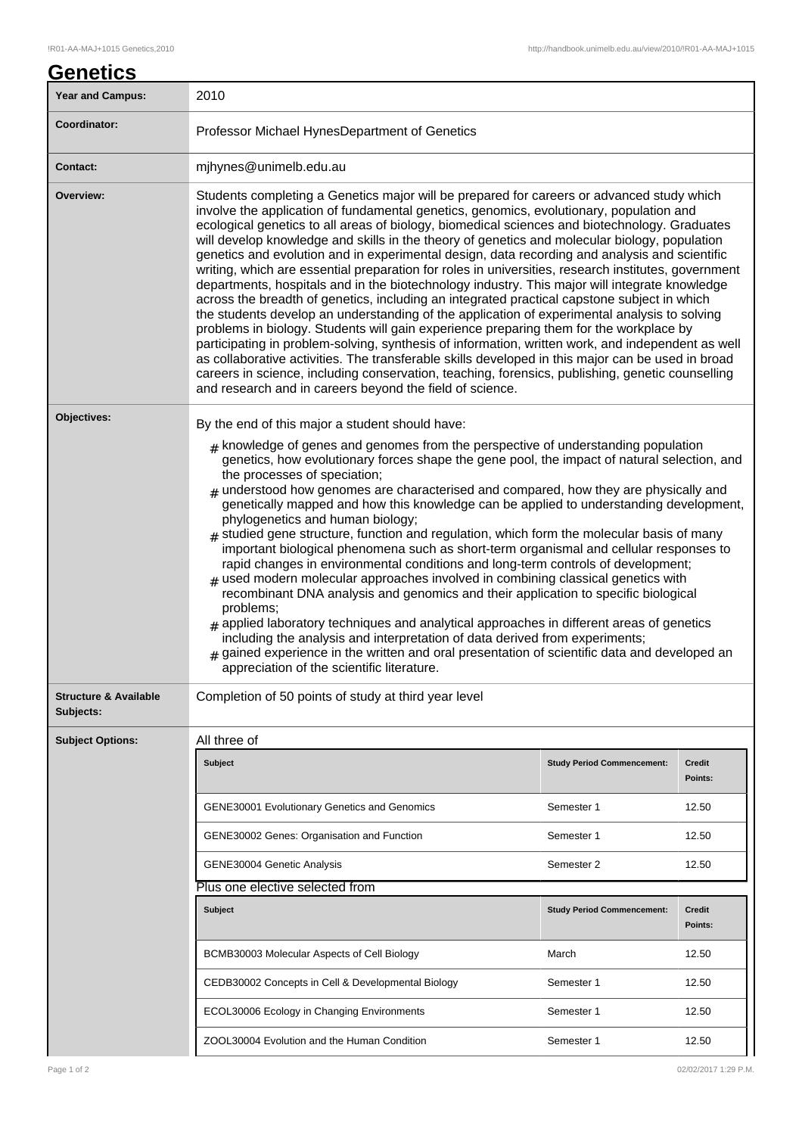| <b>Year and Campus:</b>                       | 2010                                                                                                                                                                                                                                                                                                                                                                                                                                                                                                                                                                                                                                                                                                                                                                                                                                                                                                                                                                                                                                                                                                                                                                                                                                                                                                                                                               |                                   |                   |  |
|-----------------------------------------------|--------------------------------------------------------------------------------------------------------------------------------------------------------------------------------------------------------------------------------------------------------------------------------------------------------------------------------------------------------------------------------------------------------------------------------------------------------------------------------------------------------------------------------------------------------------------------------------------------------------------------------------------------------------------------------------------------------------------------------------------------------------------------------------------------------------------------------------------------------------------------------------------------------------------------------------------------------------------------------------------------------------------------------------------------------------------------------------------------------------------------------------------------------------------------------------------------------------------------------------------------------------------------------------------------------------------------------------------------------------------|-----------------------------------|-------------------|--|
| Coordinator:                                  | Professor Michael HynesDepartment of Genetics                                                                                                                                                                                                                                                                                                                                                                                                                                                                                                                                                                                                                                                                                                                                                                                                                                                                                                                                                                                                                                                                                                                                                                                                                                                                                                                      |                                   |                   |  |
| <b>Contact:</b>                               | mjhynes@unimelb.edu.au                                                                                                                                                                                                                                                                                                                                                                                                                                                                                                                                                                                                                                                                                                                                                                                                                                                                                                                                                                                                                                                                                                                                                                                                                                                                                                                                             |                                   |                   |  |
| Overview:                                     | Students completing a Genetics major will be prepared for careers or advanced study which<br>involve the application of fundamental genetics, genomics, evolutionary, population and<br>ecological genetics to all areas of biology, biomedical sciences and biotechnology. Graduates<br>will develop knowledge and skills in the theory of genetics and molecular biology, population<br>genetics and evolution and in experimental design, data recording and analysis and scientific<br>writing, which are essential preparation for roles in universities, research institutes, government<br>departments, hospitals and in the biotechnology industry. This major will integrate knowledge<br>across the breadth of genetics, including an integrated practical capstone subject in which<br>the students develop an understanding of the application of experimental analysis to solving<br>problems in biology. Students will gain experience preparing them for the workplace by<br>participating in problem-solving, synthesis of information, written work, and independent as well<br>as collaborative activities. The transferable skills developed in this major can be used in broad<br>careers in science, including conservation, teaching, forensics, publishing, genetic counselling<br>and research and in careers beyond the field of science. |                                   |                   |  |
| Objectives:                                   | By the end of this major a student should have:<br>$#$ knowledge of genes and genomes from the perspective of understanding population<br>genetics, how evolutionary forces shape the gene pool, the impact of natural selection, and<br>the processes of speciation;<br>$#$ understood how genomes are characterised and compared, how they are physically and<br>genetically mapped and how this knowledge can be applied to understanding development,<br>phylogenetics and human biology;<br>$#$ studied gene structure, function and regulation, which form the molecular basis of many<br>important biological phenomena such as short-term organismal and cellular responses to<br>rapid changes in environmental conditions and long-term controls of development;<br>$#$ used modern molecular approaches involved in combining classical genetics with<br>recombinant DNA analysis and genomics and their application to specific biological<br>problems;<br>$#$ applied laboratory techniques and analytical approaches in different areas of genetics<br>including the analysis and interpretation of data derived from experiments;<br>$_{\text{\#}}$ gained experience in the written and oral presentation of scientific data and developed an<br>appreciation of the scientific literature.                                                        |                                   |                   |  |
| <b>Structure &amp; Available</b><br>Subjects: | Completion of 50 points of study at third year level                                                                                                                                                                                                                                                                                                                                                                                                                                                                                                                                                                                                                                                                                                                                                                                                                                                                                                                                                                                                                                                                                                                                                                                                                                                                                                               |                                   |                   |  |
| <b>Subject Options:</b>                       | All three of                                                                                                                                                                                                                                                                                                                                                                                                                                                                                                                                                                                                                                                                                                                                                                                                                                                                                                                                                                                                                                                                                                                                                                                                                                                                                                                                                       |                                   |                   |  |
|                                               | Subject                                                                                                                                                                                                                                                                                                                                                                                                                                                                                                                                                                                                                                                                                                                                                                                                                                                                                                                                                                                                                                                                                                                                                                                                                                                                                                                                                            | <b>Study Period Commencement:</b> | Credit<br>Points: |  |
|                                               | <b>GENE30001 Evolutionary Genetics and Genomics</b>                                                                                                                                                                                                                                                                                                                                                                                                                                                                                                                                                                                                                                                                                                                                                                                                                                                                                                                                                                                                                                                                                                                                                                                                                                                                                                                | Semester 1                        | 12.50             |  |
|                                               | GENE30002 Genes: Organisation and Function                                                                                                                                                                                                                                                                                                                                                                                                                                                                                                                                                                                                                                                                                                                                                                                                                                                                                                                                                                                                                                                                                                                                                                                                                                                                                                                         | Semester 1                        | 12.50             |  |
|                                               | GENE30004 Genetic Analysis                                                                                                                                                                                                                                                                                                                                                                                                                                                                                                                                                                                                                                                                                                                                                                                                                                                                                                                                                                                                                                                                                                                                                                                                                                                                                                                                         | Semester 2                        | 12.50             |  |
|                                               | Plus one elective selected from                                                                                                                                                                                                                                                                                                                                                                                                                                                                                                                                                                                                                                                                                                                                                                                                                                                                                                                                                                                                                                                                                                                                                                                                                                                                                                                                    |                                   |                   |  |
|                                               | <b>Subject</b>                                                                                                                                                                                                                                                                                                                                                                                                                                                                                                                                                                                                                                                                                                                                                                                                                                                                                                                                                                                                                                                                                                                                                                                                                                                                                                                                                     | <b>Study Period Commencement:</b> | Credit<br>Points: |  |
|                                               | BCMB30003 Molecular Aspects of Cell Biology                                                                                                                                                                                                                                                                                                                                                                                                                                                                                                                                                                                                                                                                                                                                                                                                                                                                                                                                                                                                                                                                                                                                                                                                                                                                                                                        | March                             | 12.50             |  |
|                                               | CEDB30002 Concepts in Cell & Developmental Biology                                                                                                                                                                                                                                                                                                                                                                                                                                                                                                                                                                                                                                                                                                                                                                                                                                                                                                                                                                                                                                                                                                                                                                                                                                                                                                                 | Semester 1                        | 12.50             |  |
|                                               | ECOL30006 Ecology in Changing Environments                                                                                                                                                                                                                                                                                                                                                                                                                                                                                                                                                                                                                                                                                                                                                                                                                                                                                                                                                                                                                                                                                                                                                                                                                                                                                                                         | Semester 1                        | 12.50             |  |
|                                               | ZOOL30004 Evolution and the Human Condition                                                                                                                                                                                                                                                                                                                                                                                                                                                                                                                                                                                                                                                                                                                                                                                                                                                                                                                                                                                                                                                                                                                                                                                                                                                                                                                        | Semester 1                        | 12.50             |  |